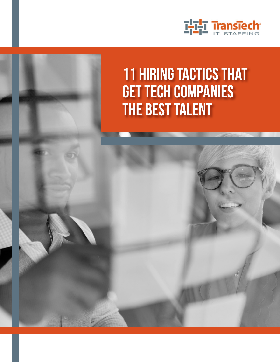

# 11 Hiring Tactics That Get Tech Companies the Best Talent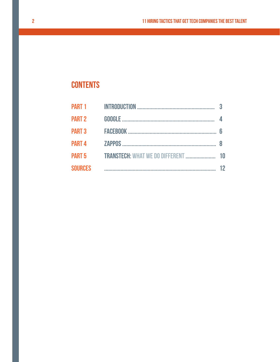## **CONTENTS**

| <b>PART 2</b>  |    |
|----------------|----|
| <b>PART 3</b>  | 6  |
| <b>PART 4</b>  | 8  |
|                |    |
| <b>SOURCES</b> | 12 |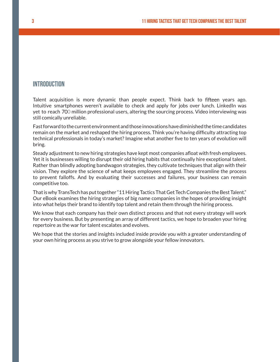#### **INTRODUCTION**

Talent acquisition is more dynamic than people expect. Think back to fifteen years ago. Intuitive smartphones weren't available to check and apply for jobs over lunch. LinkedIn was yet to reach 700 million professional users, altering the sourcing process. Video interviewing was still comically unreliable.

Fast forward to the current environment and those innovations have diminished the time candidates remain on the market and reshaped the hiring process. Think you're having difficulty attracting top technical professionals in today's market? Imagine what another five to ten years of evolution will bring.

Steady adjustment to new hiring strategies have kept most companies afloat with fresh employees. Yet it is businesses willing to disrupt their old hiring habits that continually hire exceptional talent. Rather than blindly adopting bandwagon strategies, they cultivate techniques that align with their vision. They explore the science of what keeps employees engaged. They streamline the process to prevent falloffs. And by evaluating their successes and failures, your business can remain competitive too.

That is why TransTech has put together "11 Hiring Tactics That Get Tech Companies the Best Talent." Our eBook examines the hiring strategies of big name companies in the hopes of providing insight into what helps their brand to identify top talent and retain them through the hiring process.

We know that each company has their own distinct process and that not every strategy will work for every business. But by presenting an array of different tactics, we hope to broaden your hiring repertoire as the war for talent escalates and evolves.

We hope that the stories and insights included inside provide you with a greater understanding of your own hiring process as you strive to grow alongside your fellow innovators.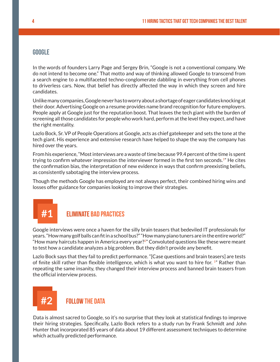#### **GOOGLE**

In the words of founders Larry Page and Sergey Brin, "Google is not a conventional company. We do not intend to become one." That motto and way of thinking allowed Google to transcend from a search engine to a multifaceted techno-conglomerate dabbling in everything from cell phones to driverless cars. Now, that belief has directly affected the way in which they screen and hire candidates.

Unlike many companies, Google never has to worry about a shortage of eager candidates knocking at their door. Advertising Google on a resume provides name brand recognition for future employers. People apply at Google just for the reputation boost. That leaves the tech giant with the burden of screening all those candidates for people who work hard, perform at the level they expect, and have the right mentality.

Lazlo Bock, Sr. VP of People Operations at Google, acts as chief gatekeeper and sets the tone at the tech giant. His experience and extensive research have helped to shape the way the company has hired over the years.

From his experience, "Most interviews are a waste of time because 99.4 percent of the time is spent trying to confirm whatever impression the interviewer formed in the first ten seconds.<sup>1"</sup> He cites the confirmation bias, the interpretation of new evidence in ways that confirm preexisting beliefs, as consistently sabotaging the interview process.

Though the methods Google has employed are not always perfect, their combined hiring wins and losses offer guidance for companies looking to improve their strategies.

### **#1** Eliminate Bad Practices

Google interviews were once a haven for the silly brain teasers that bedeviled IT professionals for years. "How many golf balls can fit in a school bus?" "How many piano tuners are in the entire world?" "How many haircuts happen in America every year? $2<sup>n</sup>$  Convoluted questions like these were meant to test how a candidate analyzes a big problem. But they didn't provide any benefit.

Lazlo Bock says that they fail to predict performance. "[Case questions and brain teasers] are tests of finite skill rather than flexible intelligence, which is what you want to hire for. <sup>1</sup>" Rather than repeating the same insanity, they changed their interview process and banned brain teasers from the official interview process.



#### *FOILOW THE DATA*

Data is almost sacred to Google, so it's no surprise that they look at statistical findings to improve their hiring strategies. Specifically, Lazlo Bock refers to a study run by Frank Schmidt and John Hunter that incorporated 85 years of data about 19 different assessment techniques to determine which actually predicted performance.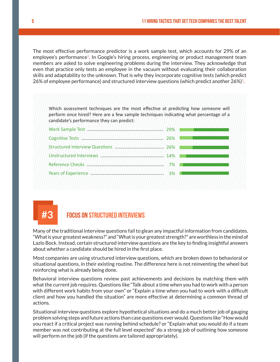The most effective performance predictor is a work sample test, which accounts for 29% of an employee's performance<sup>1</sup>. In Google's hiring process, engineering or product management team members are asked to solve engineering problems during the interview. They acknowledge that even that practice only tests an employee in the vacuum without evaluating their collaboration skills and adaptability to the unknown. That is why they incorporate cognitive tests (which predict 26% of employee performance) and structured interview questions (which predict another  $26\%/1$ .

Which assessment techniques are the most effective at predicting how someone will perform once hired? Here are a few sample techniques indicating what percentage of a candidate's performance they can predict:

| 7% |  |
|----|--|
| 3% |  |
|    |  |

### **#3** focus on structured interviews

Many of the traditional interview questions fail to glean any impactful information from candidates. "What is your greatest weakness?" and "What is your greatest strength?" are worthless in the mind of Lazlo Bock. Instead, certain structured interview questions are the key to finding insightful answers about whether a candidate should be hired in the first place.

Most companies are using structured interview questions, which are broken down to behavioral or situational questions, in their existing routine. The difference here is not reinventing the wheel but reinforcing what is already being done.

Behavioral interview questions review past achievements and decisions by matching them with what the current job requires. Questions like "Talk about a time when you had to work with a person with different work habits from your own" or "Explain a time when you had to work with a difficult client and how you handled the situation" are more effective at determining a common thread of actions.

Situational interview questions explore hypothetical situations and do a much better job of gauging problem solving steps and future actions than case questions ever would. Questions like "How would you react if a critical project was running behind schedule? or "Explain what you would do if a team member was not contributing at the full level expected" do a strong job of outlining how someone will perform on the job (if the questions are tailored appropriately).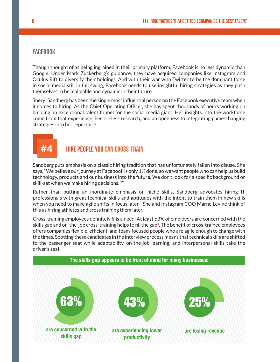#### **FACEBOOK**

Though thought of as being ingrained in their primary platform, Facebook is no less dynamic than Google. Under Mark Zuckerberg's guidance, they have acquired companies like Instagram and Oculus Rift to diversify their holdings. And with their war with Twitter to be the dominant force in social media still in full swing, Facebook needs to use insightful hiring strategies as they push themselves to be malleable and dynamic in their future.

Sheryl Sandberg has been the single most influential person on the Facebook executive team when it comes to hiring. As the Chief Operating Officer, she has spent thousands of hours working on building an exceptional talent funnel for the social media giant. Her insights into the workforce come from that experience, her tireless research, and an openness to integrating game-changing strategies into her repertoire.

### **#4** HIRE PEOPLE YOU CAN CROSS-TRAIN

Sandberg puts emphasis on a classic hiring tradition that has unfortunately fallen into disuse. She says, "We believe our journey at Facebook is only 1% done, so we want people who can help us build technology, products and our business into the future. We don't look for a specific background or skill-set when we make hiring decisions.<sup>3"</sup>

Rather than putting an inordinate emphasis on niche skills, Sandberg advocates hiring IT professionals with great technical skills and aptitudes with the intent to train them in new skills when you need to make agile shifts in focus later<sup>3</sup>. She and Instagram COO Marne Levine think of this as hiring athletes and cross training them later.

Cross-training employees definitely fills a need. At least 63% of employers are concerned with the skills gap and on-the-job cross-training helps to fill the gap<sup>4</sup>. The benefit of cross-trained employees offers companies flexible, efficient, and team-focused people who are agile enough to change with the times. Spotting these candidates in the interview process means that technical skills are shifted to the passenger seat while adaptability, on-the-job learning, and interpersonal skills take the driver's seat.

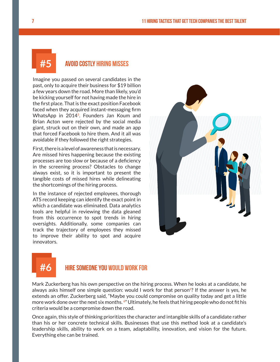#### **#5** avoid costly Hiring misses

Imagine you passed on several candidates in the past, only to acquire their business for \$19 billion a few years down the road. More than likely, you'd be kicking yourself for not having made the hire in the first place. That is the exact position Facebook faced when they acquired instant-messaging firm WhatsApp in 2014<sup>5</sup>. Founders Jan Koum and Brian Acton were rejected by the social media giant, struck out on their own, and made an app that forced Facebook to hire them. And it all was avoidable if they followed the right strategies.

First, there is a level of awareness that is necessary. Are missed hires happening because the existing processes are too slow or because of a deficiency in the screening process? Obstacles to change always exist, so it is important to present the tangible costs of missed hires while delineating the shortcomings of the hiring process.

In the instance of rejected employees, thorough ATS record keeping can identify the exact point in which a candidate was eliminated. Data analytics tools are helpful in reviewing the data gleaned from this occurrence to spot trends in hiring oversights. Additionally, some companies can track the trajectory of employees they missed to improve their ability to spot and acquire innovators.





### **#6** hire someone you would work for

Mark Zuckerberg has his own perspective on the hiring process. When he looks at a candidate, he always asks himself one simple question: would I work for that person<sup>6</sup>? If the answer is yes, he extends an offer. Zuckerberg said, "Maybe you could compromise on quality today and get a little more work done over the next six months. 6" Ultimately, he feels that hiring people who do not fit his criteria would be a compromise down the road.

Once again, this style of thinking prioritizes the character and intangible skills of a candidate rather than his or her concrete technical skills. Businesses that use this method look at a candidate's leadership skills, ability to work on a team, adaptability, innovation, and vision for the future. Everything else can be trained.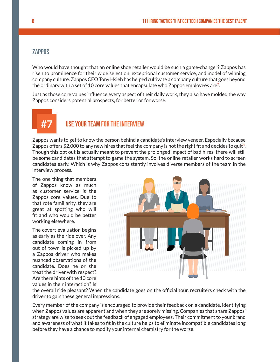#### **ZAPPOS**

Who would have thought that an online shoe retailer would be such a game-changer? Zappos has risen to prominence for their wide selection, exceptional customer service, and model of winning company culture. Zappos CEO Tony Hsieh has helped cultivate a company culture that goes beyond the ordinary with a set of 10 core values that encapsulate who Zappos employees are<sup>7</sup>.

Just as those core values influence every aspect of their daily work, they also have molded the way Zappos considers potential prospects, for better or for worse.



#### **USE YOUR TEAM FOR THE INTERVIEW**

Zappos wants to get to know the person behind a candidate's interview veneer. Especially because Zappos offers \$2,000 to any new hires that feel the company is not the right fit and decides to quit<sup>8</sup>. Though this opt out is actually meant to prevent the prolonged impact of bad hires, there will still be some candidates that attempt to game the system. So, the online retailer works hard to screen candidates early. Which is why Zappos consistently involves diverse members of the team in the interview process.

The one thing that members of Zappos know as much as customer service is the Zappos core values. Due to that rote familiarity, they are great at spotting who will fit and who would be better working elsewhere.

The covert evaluation begins as early as the ride over. Any candidate coming in from out of town is picked up by a Zappos driver who makes nuanced observations of the candidate. Does he or she treat the driver with respect? Are there hints of the 10 core values in their interaction? Is



the overall ride pleasant? When the candidate goes on the official tour, recruiters check with the driver to gain these general impressions.

Every member of the company is encouraged to provide their feedback on a candidate, identifying when Zappos values are apparent and when they are sorely missing. Companies that share Zappos' strategy are wise to seek out the feedback of engaged employees. Their commitment to your brand and awareness of what it takes to fit in the culture helps to eliminate incompatible candidates long before they have a chance to modify your internal chemistry for the worse.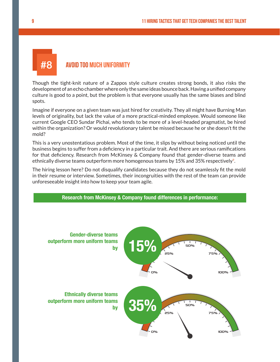### **#8** avoid too much uniformity

Though the tight-knit nature of a Zappos style culture creates strong bonds, it also risks the development of an echo chamber where only the same ideas bounce back. Having a unified company culture is good to a point, but the problem is that everyone usually has the same biases and blind spots.

Imagine if everyone on a given team was just hired for creativity. They all might have Burning Man levels of originality, but lack the value of a more practical-minded employee. Would someone like current Google CEO Sundar Pichai, who tends to be more of a level-headed pragmatist, be hired within the organization? Or would revolutionary talent be missed because he or she doesn't fit the mold?

This is a very unostentatious problem. Most of the time, it slips by without being noticed until the business begins to suffer from a deficiency in a particular trait. And there are serious ramifications for that deficiency. Research from McKinsey & Company found that gender-diverse teams and ethnically diverse teams outperform more homogenous teams by 15% and 35% respectively<sup>9</sup>.

The hiring lesson here? Do not disqualify candidates because they do not seamlessly fit the mold in their resume or interview. Sometimes, their incongruities with the rest of the team can provide unforeseeable insight into how to keep your team agile.

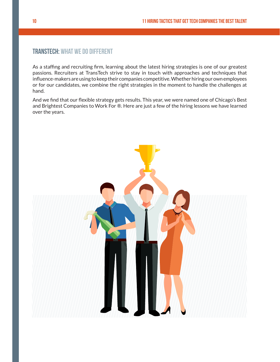#### TransTech: What We Do Different

As a staffing and recruiting firm, learning about the latest hiring strategies is one of our greatest passions. Recruiters at TransTech strive to stay in touch with approaches and techniques that influence-makers are using to keep their companies competitive. Whether hiring our own employees or for our candidates, we combine the right strategies in the moment to handle the challenges at hand.

And we find that our flexible strategy gets results. This year, we were named one of Chicago's Best and Brightest Companies to Work For ®. Here are just a few of the hiring lessons we have learned over the years.

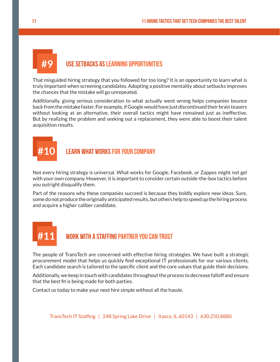# **#9** Use Setbacks as Learning Opportunities

That misguided hiring strategy that you followed for too long? It is an opportunity to learn what is truly important when screening candidates. Adopting a positive mentality about setbacks improves the chances that the mistake will go unrepeated.

Additionally, giving serious consideration to what actually went wrong helps companies bounce back from the mistake faster. For example, if Google would have just discontinued their brain teasers without looking at an alternative, their overall tactics might have remained just as ineffective. But by realizing the problem and seeking out a replacement, they were able to boost their talent acquisition results.

### *<b>I FARN WHAT WORKS FOR YOUR COMPANY*

Not every hiring strategy is universal. What works for Google, Facebook, or Zappos might not gel with your own company. However, it is important to consider certain outside-the-box tactics before you outright disqualify them.

Part of the reasons why these companies succeed is because they boldly explore new ideas. Sure, some do not produce the originally anticipated results, but others help to speed up the hiring process and acquire a higher caliber candidate.

# **#11** Work With a Staffing Partner You Can Trust

The people of TransTech are concerned with effective hiring strategies. We have built a strategic procurement model that helps us quickly find exceptional IT professionals for our various clients. Each candidate search is tailored to the specific client and the core values that guide their decisions.

Additionally, we keep in touch with candidates throughout the process to decrease falloff and ensure that the best fit is being made for both parties.

Contact us today to make your next hire simple without all the hassle.

TransTech IT Staffing | 248 Spring Lake Drive | Itasca, IL 60143 | 630.250.8880